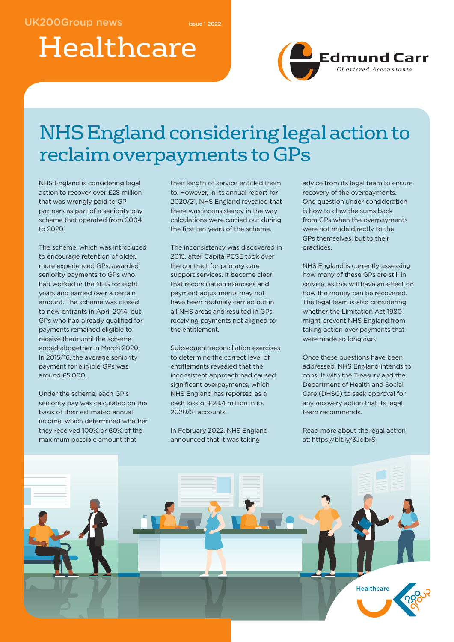# Healthcare



## NHS England considering legal action to reclaim overpayments to GPs

NHS England is considering legal action to recover over £28 million that was wrongly paid to GP partners as part of a seniority pay scheme that operated from 2004 to 2020.

The scheme, which was introduced to encourage retention of older, more experienced GPs, awarded seniority payments to GPs who had worked in the NHS for eight years and earned over a certain amount. The scheme was closed to new entrants in April 2014, but GPs who had already qualified for payments remained eligible to receive them until the scheme ended altogether in March 2020. In 2015/16, the average seniority payment for eligible GPs was around £5,000.

Under the scheme, each GP's seniority pay was calculated on the basis of their estimated annual income, which determined whether they received 100% or 60% of the maximum possible amount that

their length of service entitled them to. However, in its annual report for 2020/21, NHS England revealed that there was inconsistency in the way calculations were carried out during the first ten years of the scheme.

The inconsistency was discovered in 2015, after Capita PCSE took over the contract for primary care support services. It became clear that reconciliation exercises and payment adjustments may not have been routinely carried out in all NHS areas and resulted in GPs receiving payments not aligned to the entitlement.

Subsequent reconciliation exercises to determine the correct level of entitlements revealed that the inconsistent approach had caused significant overpayments, which NHS England has reported as a cash loss of £28.4 million in its 2020/21 accounts.

In February 2022, NHS England announced that it was taking

advice from its legal team to ensure recovery of the overpayments. One question under consideration is how to claw the sums back from GPs when the overpayments were not made directly to the GPs themselves, but to their practices.

NHS England is currently assessing how many of these GPs are still in service, as this will have an effect on how the money can be recovered. The legal team is also considering whether the Limitation Act 1980 might prevent NHS England from taking action over payments that were made so long ago.

Once these questions have been addressed, NHS England intends to consult with the Treasury and the Department of Health and Social Care (DHSC) to seek approval for any recovery action that its legal team recommends.

Read more about the legal action at: https://bit.ly/3JcIbrS

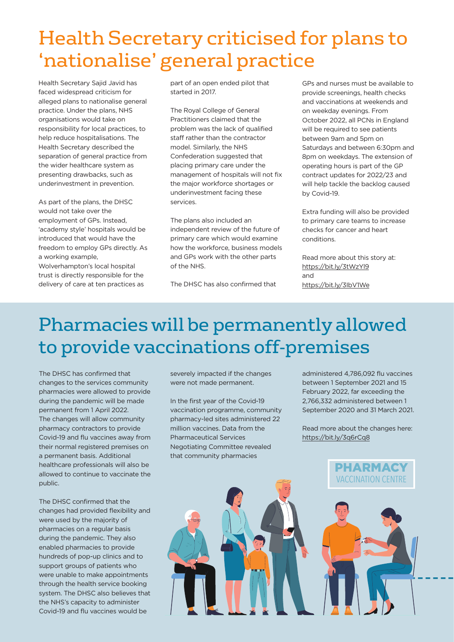### Health Secretary criticised for plans to 'nationalise' general practice

Health Secretary Sajid Javid has faced widespread criticism for alleged plans to nationalise general practice. Under the plans, NHS organisations would take on responsibility for local practices, to help reduce hospitalisations. The Health Secretary described the separation of general practice from the wider healthcare system as presenting drawbacks, such as underinvestment in prevention.

As part of the plans, the DHSC would not take over the employment of GPs. Instead, 'academy style' hospitals would be introduced that would have the freedom to employ GPs directly. As a working example, Wolverhampton's local hospital trust is directly responsible for the delivery of care at ten practices as

part of an open ended pilot that started in 2017.

The Royal College of General Practitioners claimed that the problem was the lack of qualified staff rather than the contractor model. Similarly, the NHS Confederation suggested that placing primary care under the management of hospitals will not fix the major workforce shortages or underinvestment facing these services.

The plans also included an independent review of the future of primary care which would examine how the workforce, business models and GPs work with the other parts of the NHS.

The DHSC has also confirmed that

GPs and nurses must be available to provide screenings, health checks and vaccinations at weekends and on weekday evenings. From October 2022, all PCNs in England will be required to see patients between 9am and 5pm on Saturdays and between 6:30pm and 8pm on weekdays. The extension of operating hours is part of the GP contract updates for 2022/23 and will help tackle the backlog caused by Covid-19.

Extra funding will also be provided to primary care teams to increase checks for cancer and heart conditions.

Read more about this story at: https://bit.ly/3tWzYl9 and https://bit.ly/3IbV1We

### Pharmacies will be permanently allowed to provide vaccinations off-premises

The DHSC has confirmed that changes to the services community pharmacies were allowed to provide during the pandemic will be made permanent from 1 April 2022. The changes will allow community pharmacy contractors to provide Covid-19 and flu vaccines away from their normal registered premises on a permanent basis. Additional healthcare professionals will also be allowed to continue to vaccinate the public.

The DHSC confirmed that the changes had provided flexibility and were used by the majority of pharmacies on a regular basis during the pandemic. They also enabled pharmacies to provide hundreds of pop-up clinics and to support groups of patients who were unable to make appointments through the health service booking system. The DHSC also believes that the NHS's capacity to administer Covid-19 and flu vaccines would be

severely impacted if the changes were not made permanent.

In the first year of the Covid-19 vaccination programme, community pharmacy-led sites administered 22 million vaccines. Data from the Pharmaceutical Services Negotiating Committee revealed that community pharmacies

administered 4,786,092 flu vaccines between 1 September 2021 and 15 February 2022, far exceeding the 2,766,332 administered between 1 September 2020 and 31 March 2021.

Read more about the changes here: https://bit.ly/3q6rCq8

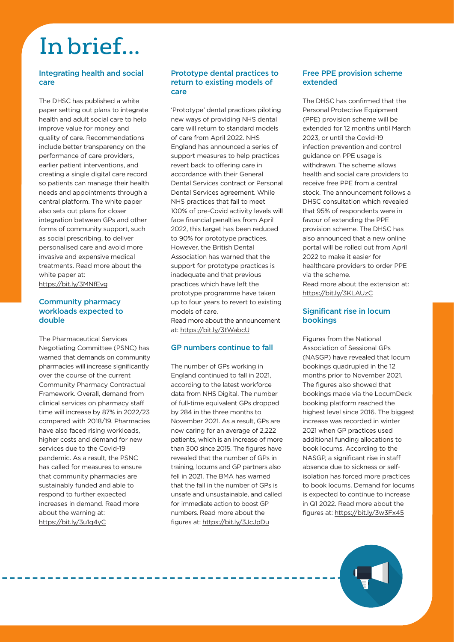## In brief...

#### Integrating health and social care

The DHSC has published a white paper setting out plans to integrate health and adult social care to help improve value for money and quality of care. Recommendations include better transparency on the performance of care providers, earlier patient interventions, and creating a single digital care record so patients can manage their health needs and appointments through a central platform. The white paper also sets out plans for closer integration between GPs and other forms of community support, such as social prescribing, to deliver personalised care and avoid more invasive and expensive medical treatments. Read more about the white paper at: https://bit.ly/3MNfEvg

#### Community pharmacy workloads expected to double

The Pharmaceutical Services Negotiating Committee (PSNC) has warned that demands on community pharmacies will increase significantly over the course of the current Community Pharmacy Contractual Framework. Overall, demand from clinical services on pharmacy staff time will increase by 87% in 2022/23 compared with 2018/19. Pharmacies have also faced rising workloads, higher costs and demand for new services due to the Covid-19 pandemic. As a result, the PSNC has called for measures to ensure that community pharmacies are sustainably funded and able to respond to further expected increases in demand. Read more about the warning at: https://bit.ly/3u1q4yC

#### Prototype dental practices to return to existing models of care

'Prototype' dental practices piloting new ways of providing NHS dental care will return to standard models of care from April 2022. NHS England has announced a series of support measures to help practices revert back to offering care in accordance with their General Dental Services contract or Personal Dental Services agreement. While NHS practices that fail to meet 100% of pre-Covid activity levels will face financial penalties from April 2022, this target has been reduced to 90% for prototype practices. However, the British Dental Association has warned that the support for prototype practices is inadequate and that previous practices which have left the prototype programme have taken up to four years to revert to existing models of care. Read more about the announcement at: https://bit.ly/3tWabcU

#### GP numbers continue to fall

The number of GPs working in England continued to fall in 2021, according to the latest workforce data from NHS Digital. The number of full-time equivalent GPs dropped by 284 in the three months to November 2021. As a result, GPs are now caring for an average of 2,222 patients, which is an increase of more than 300 since 2015. The figures have revealed that the number of GPs in training, locums and GP partners also fell in 2021. The BMA has warned that the fall in the number of GPs is unsafe and unsustainable, and called for immediate action to boost GP numbers. Read more about the figures at: https://bit.ly/3JcJpDu

#### Free PPE provision scheme extended

The DHSC has confirmed that the Personal Protective Equipment (PPE) provision scheme will be extended for 12 months until March 2023, or until the Covid-19 infection prevention and control guidance on PPE usage is withdrawn. The scheme allows health and social care providers to receive free PPE from a central stock. The announcement follows a DHSC consultation which revealed that 95% of respondents were in favour of extending the PPE provision scheme. The DHSC has also announced that a new online portal will be rolled out from April 2022 to make it easier for healthcare providers to order PPE via the scheme. Read more about the extension at:

https://bit.ly/3KLAUzC

#### Significant rise in locum bookings

Figures from the National Association of Sessional GPs (NASGP) have revealed that locum bookings quadrupled in the 12 months prior to November 2021. The figures also showed that bookings made via the LocumDeck booking platform reached the highest level since 2016. The biggest increase was recorded in winter 2021 when GP practices used additional funding allocations to book locums. According to the NASGP, a significant rise in staff absence due to sickness or selfisolation has forced more practices to book locums. Demand for locums is expected to continue to increase in Q1 2022. Read more about the figures at: https://bit.ly/3w3Fx45